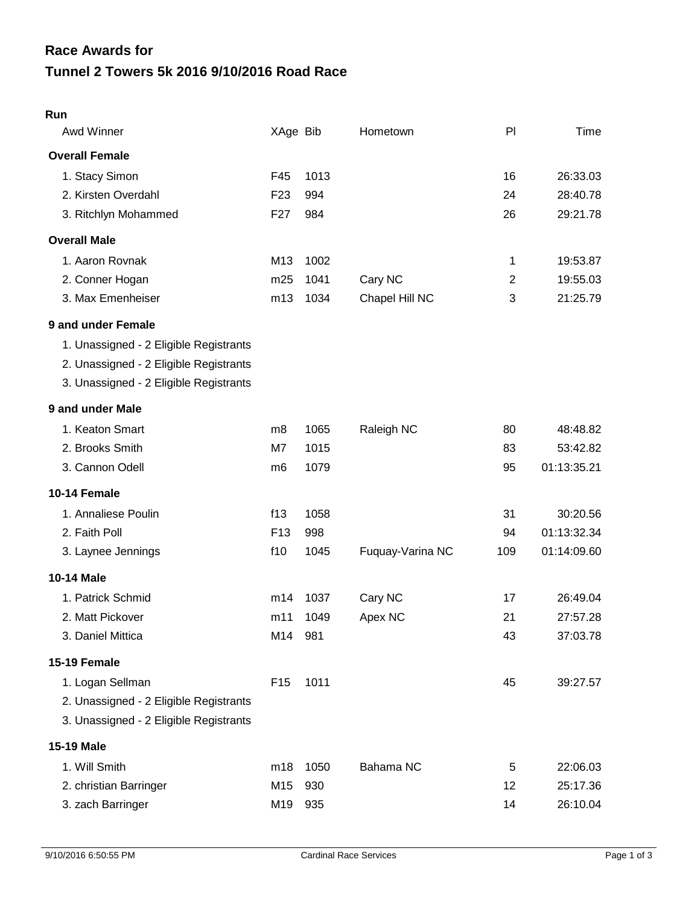| Run                                    |                 |      |                  |                |             |
|----------------------------------------|-----------------|------|------------------|----------------|-------------|
| Awd Winner                             | XAge Bib        |      | Hometown         | PI             | Time        |
| <b>Overall Female</b>                  |                 |      |                  |                |             |
| 1. Stacy Simon                         | F45             | 1013 |                  | 16             | 26:33.03    |
| 2. Kirsten Overdahl                    | F <sub>23</sub> | 994  |                  | 24             | 28:40.78    |
| 3. Ritchlyn Mohammed                   | F <sub>27</sub> | 984  |                  | 26             | 29:21.78    |
| <b>Overall Male</b>                    |                 |      |                  |                |             |
| 1. Aaron Rovnak                        | M13             | 1002 |                  | 1              | 19:53.87    |
| 2. Conner Hogan                        | m25             | 1041 | Cary NC          | $\overline{2}$ | 19:55.03    |
| 3. Max Emenheiser                      | m13             | 1034 | Chapel Hill NC   | 3              | 21:25.79    |
| 9 and under Female                     |                 |      |                  |                |             |
| 1. Unassigned - 2 Eligible Registrants |                 |      |                  |                |             |
| 2. Unassigned - 2 Eligible Registrants |                 |      |                  |                |             |
| 3. Unassigned - 2 Eligible Registrants |                 |      |                  |                |             |
| 9 and under Male                       |                 |      |                  |                |             |
| 1. Keaton Smart                        | m8              | 1065 | Raleigh NC       | 80             | 48:48.82    |
| 2. Brooks Smith                        | M7              | 1015 |                  | 83             | 53:42.82    |
| 3. Cannon Odell                        | m <sub>6</sub>  | 1079 |                  | 95             | 01:13:35.21 |
| 10-14 Female                           |                 |      |                  |                |             |
| 1. Annaliese Poulin                    | f13             | 1058 |                  | 31             | 30:20.56    |
| 2. Faith Poll                          | F <sub>13</sub> | 998  |                  | 94             | 01:13:32.34 |
| 3. Laynee Jennings                     | f10             | 1045 | Fuquay-Varina NC | 109            | 01:14:09.60 |
| 10-14 Male                             |                 |      |                  |                |             |
| 1. Patrick Schmid                      | m14             | 1037 | Cary NC          | 17             | 26:49.04    |
| 2. Matt Pickover                       | m11             | 1049 | Apex NC          | 21             | 27:57.28    |
| 3. Daniel Mittica                      | M14 981         |      |                  | 43             | 37:03.78    |
| 15-19 Female                           |                 |      |                  |                |             |
| 1. Logan Sellman                       | F <sub>15</sub> | 1011 |                  | 45             | 39:27.57    |
| 2. Unassigned - 2 Eligible Registrants |                 |      |                  |                |             |
| 3. Unassigned - 2 Eligible Registrants |                 |      |                  |                |             |
| <b>15-19 Male</b>                      |                 |      |                  |                |             |
| 1. Will Smith                          | m18             | 1050 | Bahama NC        | 5              | 22:06.03    |
| 2. christian Barringer                 | M15             | 930  |                  | 12             | 25:17.36    |
| 3. zach Barringer                      | M19             | 935  |                  | 14             | 26:10.04    |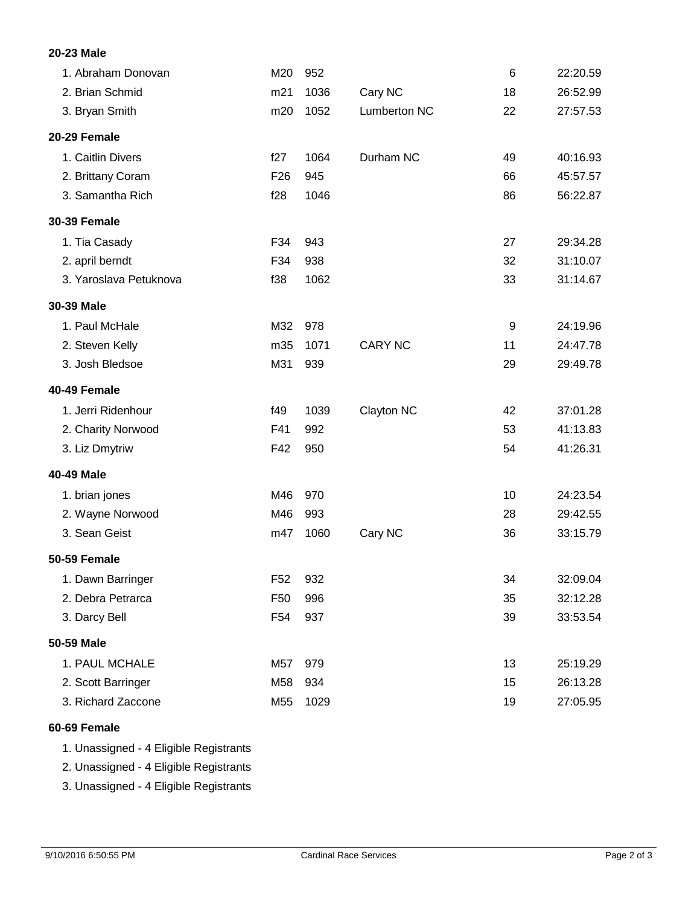# **20-23 Male**

| 1. Abraham Donovan     | M20             | 952  |                     | 6  | 22:20.59 |
|------------------------|-----------------|------|---------------------|----|----------|
| 2. Brian Schmid        | m21             | 1036 | Cary NC             | 18 | 26:52.99 |
| 3. Bryan Smith         | m20             | 1052 | <b>Lumberton NC</b> | 22 | 27:57.53 |
| 20-29 Female           |                 |      |                     |    |          |
| 1. Caitlin Divers      | f27             | 1064 | Durham NC           | 49 | 40:16.93 |
| 2. Brittany Coram      | F <sub>26</sub> | 945  |                     | 66 | 45:57.57 |
| 3. Samantha Rich       | f28             | 1046 |                     | 86 | 56:22.87 |
| <b>30-39 Female</b>    |                 |      |                     |    |          |
| 1. Tia Casady          | F34             | 943  |                     | 27 | 29:34.28 |
| 2. april berndt        | F34             | 938  |                     | 32 | 31:10.07 |
| 3. Yaroslava Petuknova | f38             | 1062 |                     | 33 | 31:14.67 |
| 30-39 Male             |                 |      |                     |    |          |
| 1. Paul McHale         | M32             | 978  |                     | 9  | 24:19.96 |
| 2. Steven Kelly        | m35             | 1071 | <b>CARY NC</b>      | 11 | 24:47.78 |
| 3. Josh Bledsoe        | M31             | 939  |                     | 29 | 29:49.78 |
| 40-49 Female           |                 |      |                     |    |          |
| 1. Jerri Ridenhour     | f49             | 1039 | Clayton NC          | 42 | 37:01.28 |
| 2. Charity Norwood     | F41             | 992  |                     | 53 | 41:13.83 |
| 3. Liz Dmytriw         | F42             | 950  |                     | 54 | 41:26.31 |
| 40-49 Male             |                 |      |                     |    |          |
| 1. brian jones         | M46             | 970  |                     | 10 | 24:23.54 |
| 2. Wayne Norwood       | M46             | 993  |                     | 28 | 29:42.55 |
| 3. Sean Geist          | m47             | 1060 | Cary NC             | 36 | 33:15.79 |
| <b>50-59 Female</b>    |                 |      |                     |    |          |
| 1. Dawn Barringer      | F <sub>52</sub> | 932  |                     | 34 | 32:09.04 |
| 2. Debra Petrarca      | F50             | 996  |                     | 35 | 32:12.28 |
| 3. Darcy Bell          | F54             | 937  |                     | 39 | 33:53.54 |
| 50-59 Male             |                 |      |                     |    |          |
| 1. PAUL MCHALE         | M57             | 979  |                     | 13 | 25:19.29 |
| 2. Scott Barringer     | M58             | 934  |                     | 15 | 26:13.28 |
| 3. Richard Zaccone     | M55             | 1029 |                     | 19 | 27:05.95 |

# **60-69 Female**

1. Unassigned - 4 Eligible Registrants

2. Unassigned - 4 Eligible Registrants

3. Unassigned - 4 Eligible Registrants